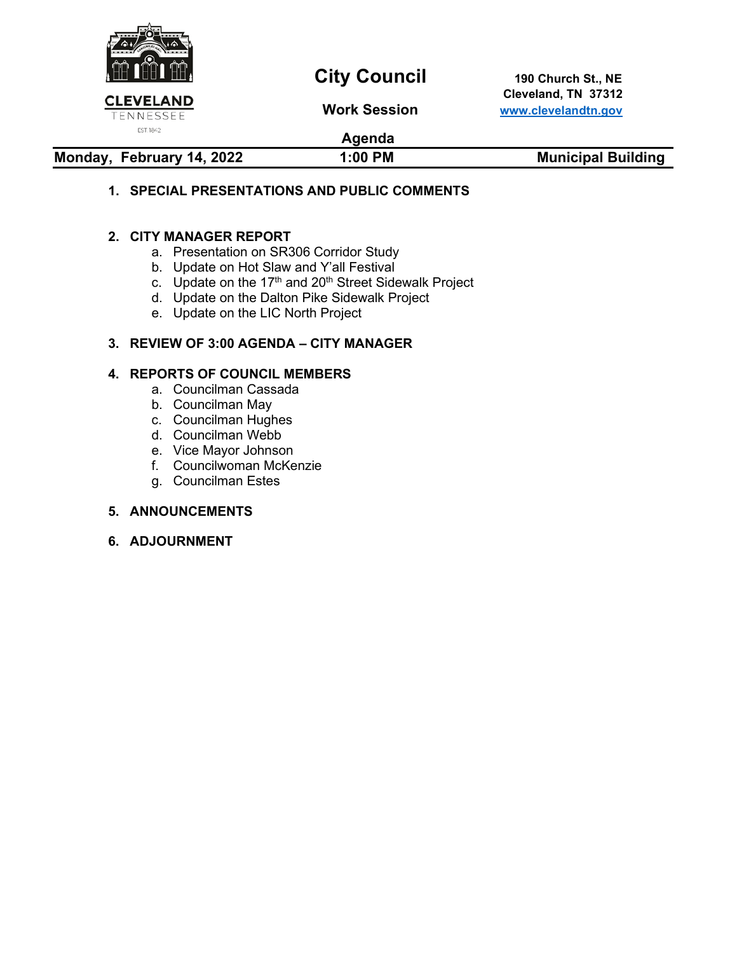

# **City Council** 190 Church St., NE

 **Cleveland, TN 37312 Work Session [www.clevelandtn.gov](http://www.clevelandtn.gov/)**

# **Agenda**

# **Monday, February 14, 2022 1:00 PM Municipal Building**

# **1. SPECIAL PRESENTATIONS AND PUBLIC COMMENTS**

### **2. CITY MANAGER REPORT**

- a. Presentation on SR306 Corridor Study
- b. Update on Hot Slaw and Y'all Festival
- c. Update on the  $17<sup>th</sup>$  and  $20<sup>th</sup>$  Street Sidewalk Project
- d. Update on the Dalton Pike Sidewalk Project
- e. Update on the LIC North Project

### **3. REVIEW OF 3:00 AGENDA – CITY MANAGER**

### **4. REPORTS OF COUNCIL MEMBERS**

- a. Councilman Cassada
- b. Councilman May
- c. Councilman Hughes
- d. Councilman Webb
- e. Vice Mayor Johnson
- f. Councilwoman McKenzie
- g. Councilman Estes

### **5. ANNOUNCEMENTS**

**6. ADJOURNMENT**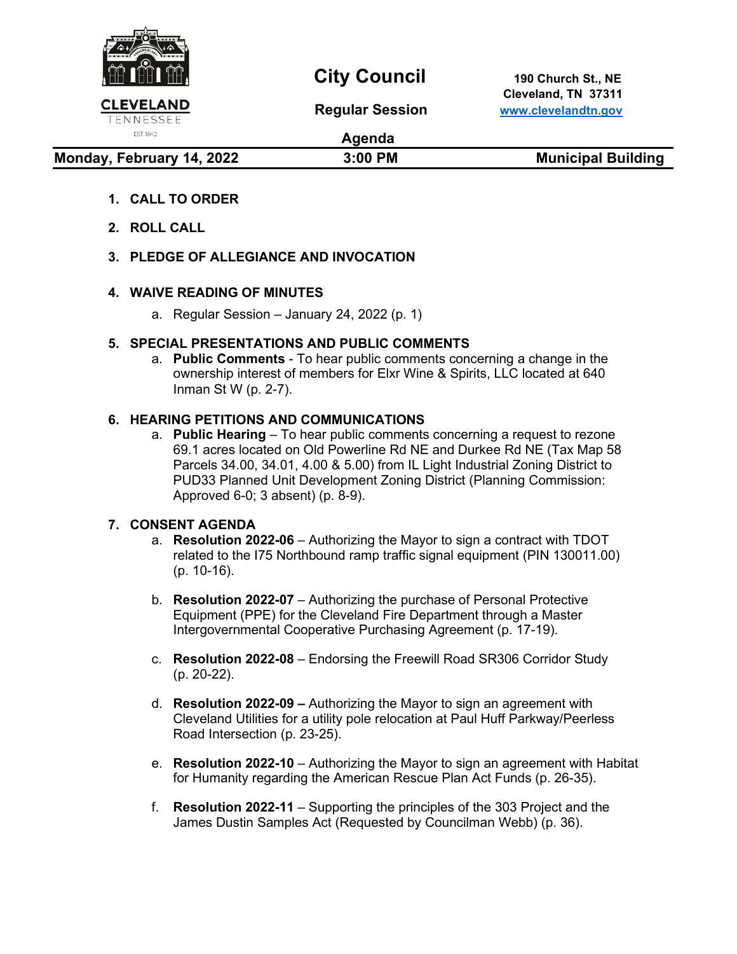

# **City Council** 190 Church St., NE

 **Cleveland, TN 37311 Regular Session [www.clevelandtn.gov](http://www.clevelandtn.gov/)**

EST. 1842

**Agenda**

**Monday, February 14, 2022** 3:00 PM Municipal Building

- **1. CALL TO ORDER**
- **2. ROLL CALL**
- **3. PLEDGE OF ALLEGIANCE AND INVOCATION**

# **4. WAIVE READING OF MINUTES**

a. Regular Session – January 24, 2022 (p. 1)

# **5. SPECIAL PRESENTATIONS AND PUBLIC COMMENTS**

a. **Public Comments** - To hear public comments concerning a change in the ownership interest of members for Elxr Wine & Spirits, LLC located at 640 Inman St W (p. 2-7).

# **6. HEARING PETITIONS AND COMMUNICATIONS**

a. **Public Hearing** – To hear public comments concerning a request to rezone 69.1 acres located on Old Powerline Rd NE and Durkee Rd NE (Tax Map 58 Parcels 34.00, 34.01, 4.00 & 5.00) from IL Light Industrial Zoning District to PUD33 Planned Unit Development Zoning District (Planning Commission: Approved 6-0; 3 absent) (p. 8-9).

# **7. CONSENT AGENDA**

- a. **Resolution 2022-06** Authorizing the Mayor to sign a contract with TDOT related to the I75 Northbound ramp traffic signal equipment (PIN 130011.00) (p. 10-16).
- b. **Resolution 2022-07** Authorizing the purchase of Personal Protective Equipment (PPE) for the Cleveland Fire Department through a Master Intergovernmental Cooperative Purchasing Agreement (p. 17-19).
- c. **Resolution 2022-08** Endorsing the Freewill Road SR306 Corridor Study (p. 20-22).
- d. **Resolution 2022-09 –** Authorizing the Mayor to sign an agreement with Cleveland Utilities for a utility pole relocation at Paul Huff Parkway/Peerless Road Intersection (p. 23-25).
- e. **Resolution 2022-10** Authorizing the Mayor to sign an agreement with Habitat for Humanity regarding the American Rescue Plan Act Funds (p. 26-35).
- f. **Resolution 2022-11** Supporting the principles of the 303 Project and the James Dustin Samples Act (Requested by Councilman Webb) (p. 36).